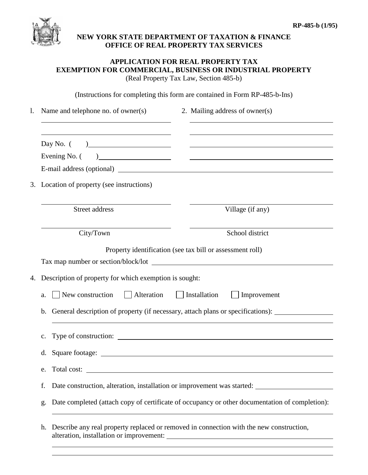

## **NEW YORK STATE DEPARTMENT OF TAXATION & FINANCE OFFICE OF REAL PROPERTY TAX SERVICES**

## **APPLICATION FOR REAL PROPERTY TAX EXEMPTION FOR COMMERCIAL, BUSINESS OR INDUSTRIAL PROPERTY** (Real Property Tax Law, Section 485-b)

(Instructions for completing this form are contained in Form RP-485-b-Ins)

| 1. | Name and telephone no. of owner(s)                                                                                                                                                                                                             | 2. Mailing address of owner(s)                                                                                        |  |  |
|----|------------------------------------------------------------------------------------------------------------------------------------------------------------------------------------------------------------------------------------------------|-----------------------------------------------------------------------------------------------------------------------|--|--|
|    | Day No. $($                                                                                                                                                                                                                                    | <u> 1999 - Johann Harry Harry Harry Harry Harry Harry Harry Harry Harry Harry Harry Harry Harry Harry Harry Harry</u> |  |  |
|    | Evening No. (<br>) and the set of the set of the set of the set of the set of the set of the set of the set of the set of the set of the set of the set of the set of the set of the set of the set of the set of the set of the set of the se | <u> 1989 - Andrea State Barbara, amerikan personal di sebagai personal di sebagai personal di sebagai personal di</u> |  |  |
|    |                                                                                                                                                                                                                                                |                                                                                                                       |  |  |
| 3. | Location of property (see instructions)                                                                                                                                                                                                        |                                                                                                                       |  |  |
|    | Street address                                                                                                                                                                                                                                 | Village (if any)                                                                                                      |  |  |
|    | City/Town                                                                                                                                                                                                                                      | School district                                                                                                       |  |  |
|    | Property identification (see tax bill or assessment roll)                                                                                                                                                                                      |                                                                                                                       |  |  |
| 4. | Description of property for which exemption is sought:                                                                                                                                                                                         |                                                                                                                       |  |  |
|    | Alteration Installation<br>New construction<br>a.                                                                                                                                                                                              | Improvement                                                                                                           |  |  |
|    | b.                                                                                                                                                                                                                                             | General description of property (if necessary, attach plans or specifications):                                       |  |  |
|    | $\mathbf{c}$ .                                                                                                                                                                                                                                 |                                                                                                                       |  |  |
|    | d.                                                                                                                                                                                                                                             | Square footage:                                                                                                       |  |  |
|    | e.                                                                                                                                                                                                                                             |                                                                                                                       |  |  |
|    | f.                                                                                                                                                                                                                                             |                                                                                                                       |  |  |
|    | g.                                                                                                                                                                                                                                             | Date completed (attach copy of certificate of occupancy or other documentation of completion):                        |  |  |
|    | h.                                                                                                                                                                                                                                             | Describe any real property replaced or removed in connection with the new construction,                               |  |  |